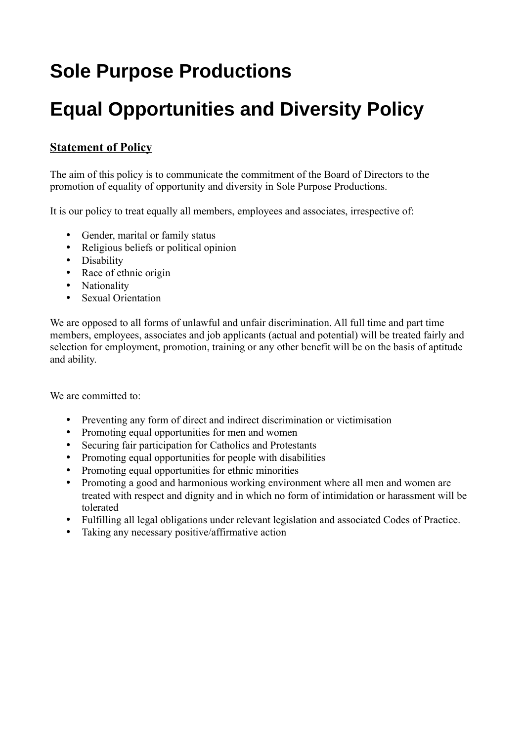# **Sole Purpose Productions**

# **Equal Opportunities and Diversity Policy**

## **Statement of Policy**

The aim of this policy is to communicate the commitment of the Board of Directors to the promotion of equality of opportunity and diversity in Sole Purpose Productions.

It is our policy to treat equally all members, employees and associates, irrespective of:

- Gender, marital or family status
- Religious beliefs or political opinion
- Disability
- Race of ethnic origin
- Nationality
- Sexual Orientation

We are opposed to all forms of unlawful and unfair discrimination. All full time and part time members, employees, associates and job applicants (actual and potential) will be treated fairly and selection for employment, promotion, training or any other benefit will be on the basis of aptitude and ability.

We are committed to:

- Preventing any form of direct and indirect discrimination or victimisation
- Promoting equal opportunities for men and women
- Securing fair participation for Catholics and Protestants
- Promoting equal opportunities for people with disabilities
- Promoting equal opportunities for ethnic minorities
- Promoting a good and harmonious working environment where all men and women are treated with respect and dignity and in which no form of intimidation or harassment will be tolerated
- Fulfilling all legal obligations under relevant legislation and associated Codes of Practice.
- Taking any necessary positive/affirmative action